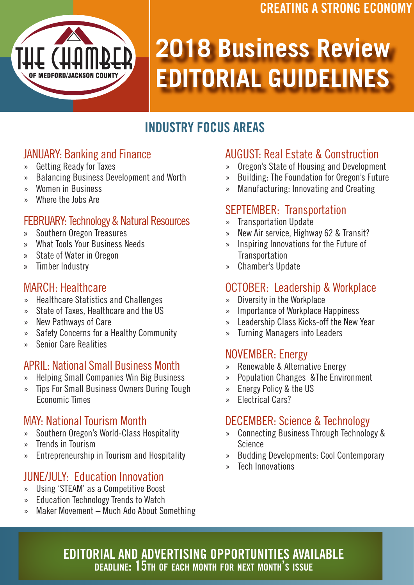## CREATING A STRONG ECONOMY



# **2018 Business Review EDITORIAL GUIDELINES**

# INDUSTRY FOCUS AREAS

## JANUARY: Banking and Finance

- » Getting Ready for Taxes
- » Balancing Business Development and Worth
- » Women in Business
- » Where the Jobs Are

#### FEBRUARY: Technology & Natural Resources

- » Southern Oregon Treasures
- » What Tools Your Business Needs
- » State of Water in Oregon
- » Timber Industry

#### MARCH: Healthcare

- » Healthcare Statistics and Challenges
- » State of Taxes, Healthcare and the US
- » New Pathways of Care
- » Safety Concerns for a Healthy Community
- » Senior Care Realities

#### APRIL: National Small Business Month

- » Helping Small Companies Win Big Business
- » Tips For Small Business Owners During Tough Economic Times

### MAY: National Tourism Month

- » Southern Oregon's World-Class Hospitality
- » Trends in Tourism
- » Entrepreneurship in Tourism and Hospitality

### JUNE/JULY: Education Innovation

- » Using 'STEAM' as a Competitive Boost
- » Education Technology Trends to Watch
- » Maker Movement Much Ado About Something

## AUGUST: Real Estate & Construction

- » Oregon's State of Housing and Development
- » Building: The Foundation for Oregon's Future
- » Manufacturing: Innovating and Creating

### SEPTEMBER: Transportation

- » Transportation Update
- » New Air service, Highway 62 & Transit?
- » Inspiring Innovations for the Future of **Transportation**
- » Chamber's Update

### OCTOBER: Leadership & Workplace

- » Diversity in the Workplace
- » Importance of Workplace Happiness
- » Leadership Class Kicks-off the New Year
- » Turning Managers into Leaders

#### NOVEMBER: Energy

- » Renewable & Alternative Energy
- » Population Changes &The Environment
- » Energy Policy & the US
- » Electrical Cars?

#### DECEMBER: Science & Technology

- » Connecting Business Through Technology & Science
- » Budding Developments; Cool Contemporary
- » Tech Innovations

#### EDITORIAL AND ADVERTISING OPPORTUNITIES AVAILABLE deadline: 15th of each month for next month's issue